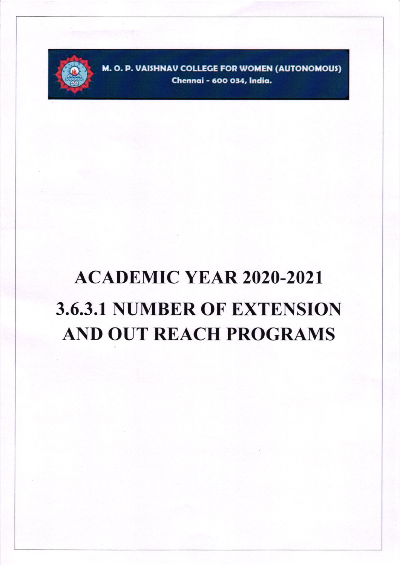

M. O. P. VAISHNAV COLLEGE FOR WOMEN (AUTONOMOUS) Chennai - 600 034, India.

## **ACADEMIC YEAR 2020-2021 3.6.3.1 NUMBER OF EXTENSION AND OUT REACH PROGRAMS**